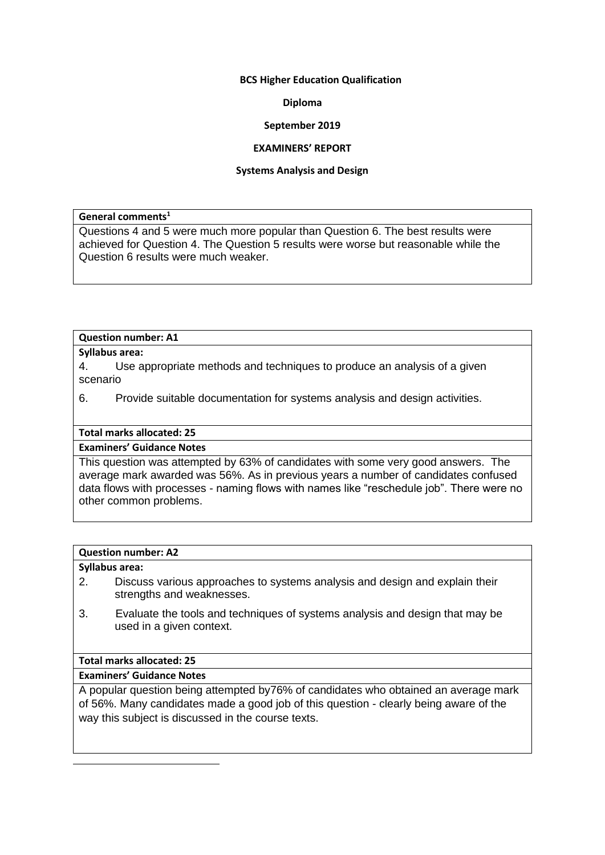#### **BCS Higher Education Qualification**

#### **Diploma**

#### **September 2019**

#### **EXAMINERS' REPORT**

#### **Systems Analysis and Design**

#### **General comments<sup>1</sup>**

Questions 4 and 5 were much more popular than Question 6. The best results were achieved for Question 4. The Question 5 results were worse but reasonable while the Question 6 results were much weaker.

#### **Question number: A1**

#### **Syllabus area:**

4. Use appropriate methods and techniques to produce an analysis of a given scenario

## 6. Provide suitable documentation for systems analysis and design activities.

## **Total marks allocated: 25**

### **Examiners' Guidance Notes**

This question was attempted by 63% of candidates with some very good answers. The average mark awarded was 56%. As in previous years a number of candidates confused data flows with processes - naming flows with names like "reschedule job". There were no other common problems.

### **Question number: A2**

#### **Syllabus area:**

- 2. Discuss various approaches to systems analysis and design and explain their strengths and weaknesses.
- 3. Evaluate the tools and techniques of systems analysis and design that may be used in a given context.

## **Total marks allocated: 25**

## **Examiners' Guidance Notes**

A popular question being attempted by76% of candidates who obtained an average mark of 56%. Many candidates made a good job of this question - clearly being aware of the way this subject is discussed in the course texts.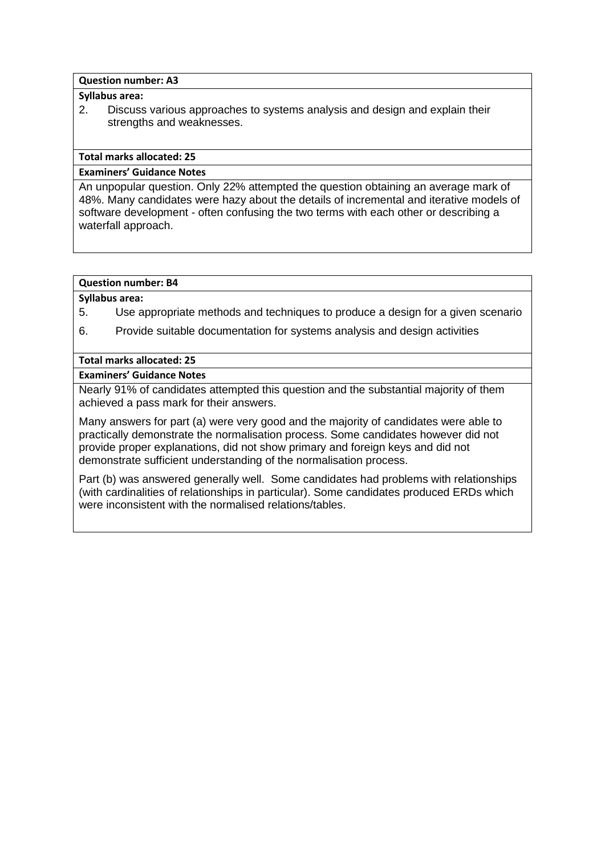#### **Question number: A3**

### **Syllabus area:**

2. Discuss various approaches to systems analysis and design and explain their strengths and weaknesses.

### **Total marks allocated: 25**

## **Examiners' Guidance Notes**

An unpopular question. Only 22% attempted the question obtaining an average mark of 48%. Many candidates were hazy about the details of incremental and iterative models of software development - often confusing the two terms with each other or describing a waterfall approach.

## **Question number: B4**

#### **Syllabus area:**

- 5. Use appropriate methods and techniques to produce a design for a given scenario
- 6. Provide suitable documentation for systems analysis and design activities

## **Total marks allocated: 25**

# **Examiners' Guidance Notes**

Nearly 91% of candidates attempted this question and the substantial majority of them achieved a pass mark for their answers.

Many answers for part (a) were very good and the majority of candidates were able to practically demonstrate the normalisation process. Some candidates however did not provide proper explanations, did not show primary and foreign keys and did not demonstrate sufficient understanding of the normalisation process.

Part (b) was answered generally well. Some candidates had problems with relationships (with cardinalities of relationships in particular). Some candidates produced ERDs which were inconsistent with the normalised relations/tables.